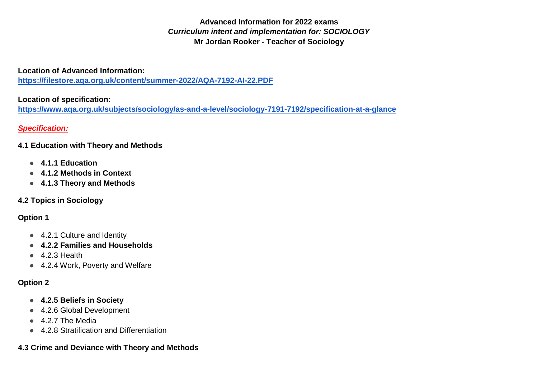**Advanced Information for 2022 exams**  *Curriculum intent and implementation for: SOCIOLOGY* **Mr Jordan Rooker - Teacher of Sociology**

**Location of Advanced Information:** 

**<https://filestore.aqa.org.uk/content/summer-2022/AQA-7192-AI-22.PDF>**

## **Location of specification:**

**<https://www.aqa.org.uk/subjects/sociology/as-and-a-level/sociology-7191-7192/specification-at-a-glance>**

# *Specification:*

## **4.1 [Education with Theory and Methods](https://www.aqa.org.uk/subjects/sociology/as-and-a-level/sociology-7191-7192/subject-content-a-level/education-with-theory-and-methods)**

- **4.1.1 [Education](https://www.aqa.org.uk/subjects/sociology/as-and-a-level/sociology-7191-7192/subject-content-as/education-with-methods-in-context#Education)**
- **4.1.2 [Methods in Context](https://www.aqa.org.uk/subjects/sociology/as-and-a-level/sociology-7191-7192/subject-content-as/education-with-methods-in-context#Methods_in_Context)**
- **4.1.3 [Theory and Methods](https://www.aqa.org.uk/subjects/sociology/as-and-a-level/sociology-7191-7192/subject-content-a-level/education-with-theory-and-methods#Theory_and_Methods)**

# **4.2 [Topics in Sociology](https://www.aqa.org.uk/subjects/sociology/as-and-a-level/sociology-7191-7192/subject-content-a-level/topics-in-sociology)**

# **Option 1**

- 4.2.1 [Culture and Identity](https://www.aqa.org.uk/subjects/sociology/as-and-a-level/sociology-7191-7192/subject-content-as/research-methods-and-topics-in-sociology#Culture_and_Identity)
- **4.2.2 [Families and Households](https://www.aqa.org.uk/subjects/sociology/as-and-a-level/sociology-7191-7192/subject-content-as/research-methods-and-topics-in-sociology#Families_and_Households)**
- $\bullet$  4.2.3 [Health](https://www.aqa.org.uk/subjects/sociology/as-and-a-level/sociology-7191-7192/subject-content-as/research-methods-and-topics-in-sociology#Health)
- 4.2.4 [Work, Poverty and Welfare](https://www.aqa.org.uk/subjects/sociology/as-and-a-level/sociology-7191-7192/subject-content-as/research-methods-and-topics-in-sociology#Work_Poverty_and_Welfare)

# **Option 2**

- **4.2.5 [Beliefs in Society](https://www.aqa.org.uk/subjects/sociology/as-and-a-level/sociology-7191-7192/subject-content-a-level/topics-in-sociology#Beliefs_in_Society)**
- 4.2.6 [Global Development](https://www.aqa.org.uk/subjects/sociology/as-and-a-level/sociology-7191-7192/subject-content-a-level/topics-in-sociology#Global_Development)
- 4.2.7 [The Media](https://www.aqa.org.uk/subjects/sociology/as-and-a-level/sociology-7191-7192/subject-content-a-level/topics-in-sociology#The_Media)
- 4.2.8 [Stratification and Differentiation](https://www.aqa.org.uk/subjects/sociology/as-and-a-level/sociology-7191-7192/subject-content-a-level/topics-in-sociology#Stratification_and_Differentiation)

# **4.3 [Crime and Deviance with Theory and Methods](https://www.aqa.org.uk/subjects/sociology/as-and-a-level/sociology-7191-7192/subject-content-a-level/crime-and-deviance-with-theory-and-methods)**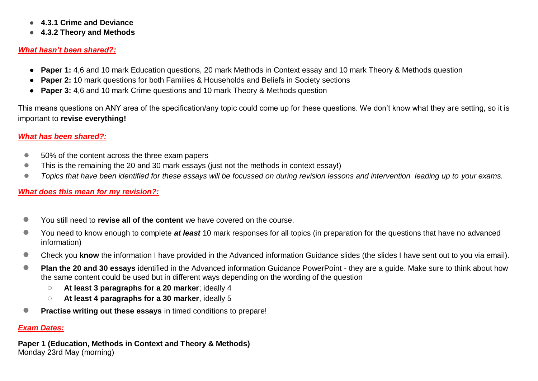- **4.3.1 [Crime and Deviance](https://www.aqa.org.uk/subjects/sociology/as-and-a-level/sociology-7191-7192/subject-content-a-level/crime-and-deviance-with-theory-and-methods#Crime_and_Deviance)**
- **4.3.2 [Theory and Methods](https://www.aqa.org.uk/subjects/sociology/as-and-a-level/sociology-7191-7192/subject-content-a-level/crime-and-deviance-with-theory-and-methods#Theory_and_Methods)**

#### *What hasn't been shared?:*

- **Paper 1:** 4,6 and 10 mark Education questions, 20 mark Methods in Context essay and 10 mark Theory & Methods question
- **Paper 2:** 10 mark questions for both Families & Households and Beliefs in Society sections
- **Paper 3:** 4,6 and 10 mark Crime questions and 10 mark Theory & Methods question

This means questions on ANY area of the specification/any topic could come up for these questions. We don't know what they are setting, so it is important to **revise everything!**

### *What has been shared?:*

- 50% of the content across the three exam papers
- This is the remaining the 20 and 30 mark essays (just not the methods in context essay!)
- *Topics that have been identified for these essays will be focussed on during revision lessons and intervention leading up to your exams.*

## *What does this mean for my revision?:*

- You still need to **revise all of the content** we have covered on the course.
- You need to know enough to complete *at least* 10 mark responses for all topics (in preparation for the questions that have no advanced information)
- Check you know the information I have provided in the Advanced information Guidance slides (the slides I have sent out to you via email).
- **Plan the 20 and 30 essays** identified in the Advanced information Guidance PowerPoint they are a quide. Make sure to think about how the same content could be used but in different ways depending on the wording of the question
	- **At least 3 paragraphs for a 20 marker**; ideally 4
	- **At least 4 paragraphs for a 30 marker**, ideally 5
- **Practise writing out these essays** in timed conditions to prepare!

### *Exam Dates:*

**Paper 1 (Education, Methods in Context and Theory & Methods)** Monday 23rd May (morning)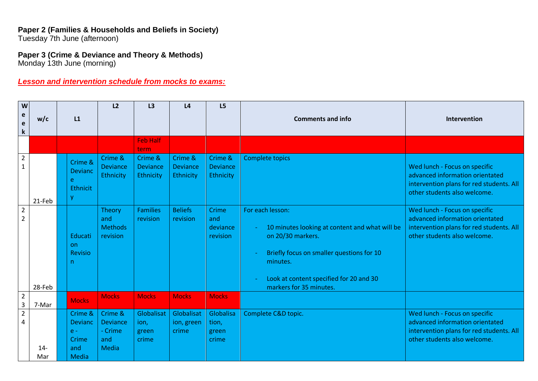#### **Paper 2 (Families & Households and Beliefs in Society)** Tuesday 7th June (afternoon)

# **Paper 3 (Crime & Deviance and Theory & Methods)**

Monday 13th June (morning)

# *Lesson and intervention schedule from mocks to exams:*

| W                                         |              |                                                                    | L2                                                    | L3                                      | L4                                             | L5                                      |                                                                                                                                                                                                                        |                                                                                                                                              |
|-------------------------------------------|--------------|--------------------------------------------------------------------|-------------------------------------------------------|-----------------------------------------|------------------------------------------------|-----------------------------------------|------------------------------------------------------------------------------------------------------------------------------------------------------------------------------------------------------------------------|----------------------------------------------------------------------------------------------------------------------------------------------|
| e<br>$\mathbf e$<br>$\mathbf k$           | w/c          | L1                                                                 |                                                       |                                         |                                                |                                         | <b>Comments and info</b>                                                                                                                                                                                               | Intervention                                                                                                                                 |
|                                           |              |                                                                    |                                                       | <b>Feb Half</b><br>term                 |                                                |                                         |                                                                                                                                                                                                                        |                                                                                                                                              |
| $\overline{2}$<br>$\mathbf{1}$            | 21-Feb       | Crime &<br><b>Devianc</b><br>e<br>Ethnicit<br>V                    | Crime &<br><b>Deviance</b><br>Ethnicity               | Crime &<br><b>Deviance</b><br>Ethnicity | Crime &<br><b>Deviance</b><br><b>Ethnicity</b> | Crime &<br><b>Deviance</b><br>Ethnicity | <b>Complete topics</b>                                                                                                                                                                                                 | Wed lunch - Focus on specific<br>advanced information orientated<br>intervention plans for red students. All<br>other students also welcome. |
| $\overline{2}$<br>$\overline{2}$          | 28-Feb       | Educati<br><b>on</b><br><b>Revisio</b><br>n                        | <b>Theory</b><br>and<br><b>Methods</b><br>revision    | <b>Families</b><br>revision             | <b>Beliefs</b><br>revision                     | Crime<br>and<br>deviance<br>revision    | For each lesson:<br>10 minutes looking at content and what will be<br>on 20/30 markers.<br>Briefly focus on smaller questions for 10<br>minutes.<br>Look at content specified for 20 and 30<br>markers for 35 minutes. | Wed lunch - Focus on specific<br>advanced information orientated<br>intervention plans for red students. All<br>other students also welcome. |
| $\overline{2}$<br>$\overline{\mathbf{3}}$ | 7-Mar        | <b>Mocks</b>                                                       | <b>Mocks</b>                                          | <b>Mocks</b>                            | <b>Mocks</b>                                   | <b>Mocks</b>                            |                                                                                                                                                                                                                        |                                                                                                                                              |
| $\overline{2}$<br>4                       | $14-$<br>Mar | Crime &<br><b>Devianc</b><br>$e -$<br>Crime<br>and<br><b>Media</b> | Crime &<br>Deviance<br>- Crime<br>and<br><b>Media</b> | Globalisat<br>ion,<br>green<br>crime    | Globalisat<br>ion, green<br>crime              | Globalisa<br>tion,<br>green<br>crime    | Complete C&D topic.                                                                                                                                                                                                    | Wed lunch - Focus on specific<br>advanced information orientated<br>intervention plans for red students. All<br>other students also welcome. |